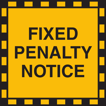# **FIXED PENALTY NOTICE**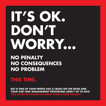# **IT'S OK. DON'T WORRY…**

#### **NO PENALTY NO CONSEQUENCES NO PROBLEM**

#### **THIS TIME.**

**BUT IF ONE OF YOUR PEOPLE HAS A CRASH ON THE ROAD AND YOUR FLEET RISK MANAGEMENT PROCEDURES AREN'T UP TO DATE YOU COULD BE FACING FAR MORE THAN A FIXED PENALTY.**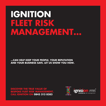### **IGNITION FLEET RISK MANAGEMENT…**

**…CAN HELP KEEP YOUR PEOPLE, YOUR REPUTATION AND YOUR BUSINESS SAFE. LET US SHOW YOU HOW.**

**DISCOVER THE TRUE VALUE OF BESPOKE FLEET RISK MANAGEMENT. CALL IGNITION ON 0845 313 8383**

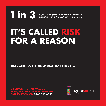#### **1in 3 ROAD CRASHES INVOLVE A VEHICLE BEING USED FOR WORK.** (Roadsafe) **IT'S CALLED RISK FOR A REASON**

**THERE WERE 1,732 REPORTED ROAD DEATHS IN 2015.**

**DISCOVER THE TRUE VALUE OF BESPOKE FLEET RISK MANAGEMENT. CALL IGNITION ON 0845 313 8383**

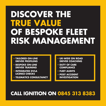## **DISCOVER THE TRUE VALUE OF BESPOKE FLEET RISK MANAGEMENT**

- **TAILORED ON-LINE DRIVER PROFILING**
- **BESPOKE ON-LINE DRIVER TRAINING**
- **INTEGRATED DVLA LICENCE CHECKS**
- **TELEMATICS CONSULTANCY**
- **UK-WIDE ON ROAD DRIVER COACHING**
- **DUTY OF CARE COMPLIANCE**
- **FLEET AUDITS**
- **POST ACCIDENT INVESTIGATION**

#### **CALL IGNITION ON 0845 313 8383**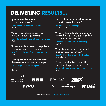#### **DELIVERING RESULTS…**

"Ignition provided a very professional service."

 Colin Marriot – General Manager Fleet British Gas

"An excellent tailored solution that really meets our requirements."

 Michael Brandwood – Claims & Insurance Manager **FSH** 

"A user friendly solution that helps keep our employees safe on the road."

 Max Winkler – Business Development Manager **OMEX** 

"Training organisation has been great, they couldn't have been more helpful."

Caron Wright – Group Learning and Development Manager Regatta

"Delivered on time and with minimum disruption to our business."

 Steve Pope – General Manager City Electrical Factors

"An easily tailored system giving me a system that is a DYNO system and not a generic risk assessment."

 Anita Marriott – Regional Growth Manager **DYNO** 

"A highly professional company with excellent customer service."

 Dean Godfrey – Environment, Health and Safety Wienerberger

"A very cost effective system with exceptional support and service." Vijay Patel – Facilities and Procurement Manager **FDM** 



GBG | AdvancedCheck - Licence Check Partner